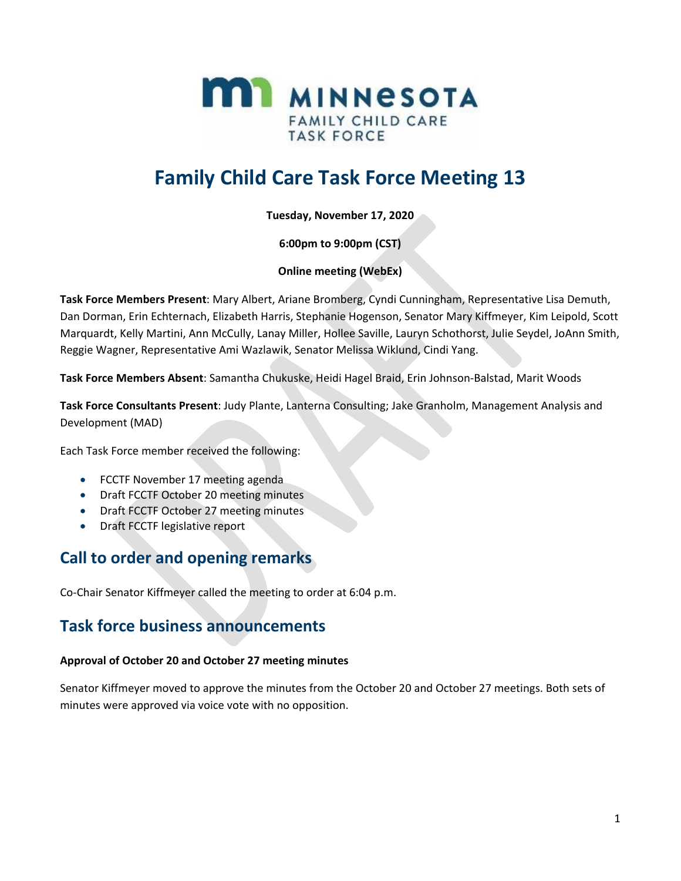

# **Family Child Care Task Force Meeting 13**

**Tuesday, November 17, 2020**

**6:00pm to 9:00pm (CST)**

**Online meeting (WebEx)**

**Task Force Members Present**: Mary Albert, Ariane Bromberg, Cyndi Cunningham, Representative Lisa Demuth, Dan Dorman, Erin Echternach, Elizabeth Harris, Stephanie Hogenson, Senator Mary Kiffmeyer, Kim Leipold, Scott Marquardt, Kelly Martini, Ann McCully, Lanay Miller, Hollee Saville, Lauryn Schothorst, Julie Seydel, JoAnn Smith, Reggie Wagner, Representative Ami Wazlawik, Senator Melissa Wiklund, Cindi Yang.

**Task Force Members Absent**: Samantha Chukuske, Heidi Hagel Braid, Erin Johnson-Balstad, Marit Woods

**Task Force Consultants Present**: Judy Plante, Lanterna Consulting; Jake Granholm, Management Analysis and Development (MAD)

Each Task Force member received the following:

- FCCTF November 17 meeting agenda
- Draft FCCTF October 20 meeting minutes
- Draft FCCTF October 27 meeting minutes
- Draft FCCTF legislative report

# **Call to order and opening remarks**

Co-Chair Senator Kiffmeyer called the meeting to order at 6:04 p.m.

### **Task force business announcements**

#### **Approval of October 20 and October 27 meeting minutes**

Senator Kiffmeyer moved to approve the minutes from the October 20 and October 27 meetings. Both sets of minutes were approved via voice vote with no opposition.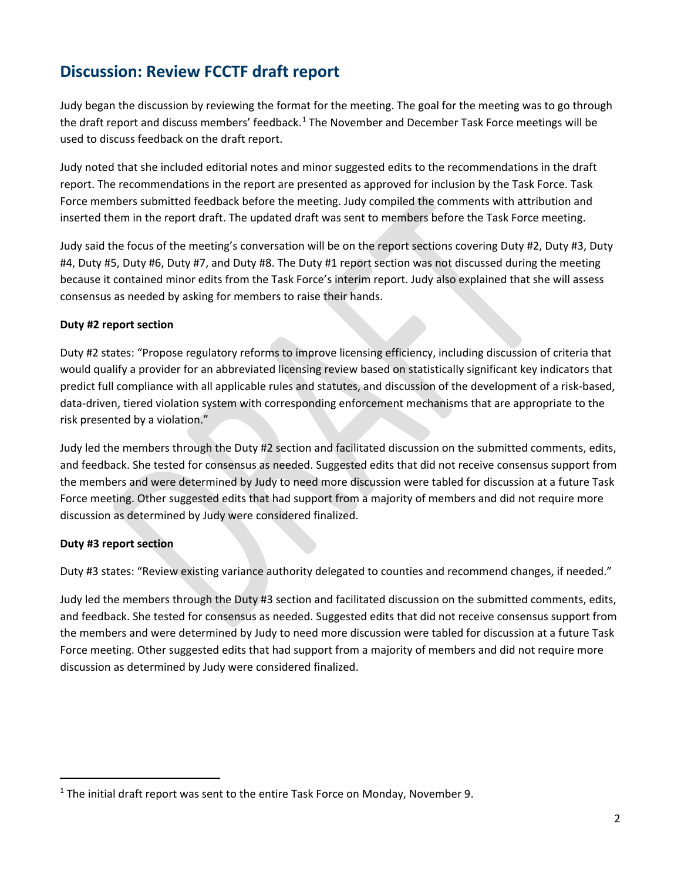# **Discussion: Review FCCTF draft report**

Judy began the discussion by reviewing the format for the meeting. The goal for the meeting was to go through the draft report and discuss members' feedback.<sup>[1](#page-1-0)</sup> The November and December Task Force meetings will be used to discuss feedback on the draft report.

Judy noted that she included editorial notes and minor suggested edits to the recommendations in the draft report. The recommendations in the report are presented as approved for inclusion by the Task Force. Task Force members submitted feedback before the meeting. Judy compiled the comments with attribution and inserted them in the report draft. The updated draft was sent to members before the Task Force meeting.

Judy said the focus of the meeting's conversation will be on the report sections covering Duty #2, Duty #3, Duty #4, Duty #5, Duty #6, Duty #7, and Duty #8. The Duty #1 report section was not discussed during the meeting because it contained minor edits from the Task Force's interim report. Judy also explained that she will assess consensus as needed by asking for members to raise their hands.

#### **Duty #2 report section**

Duty #2 states: "Propose regulatory reforms to improve licensing efficiency, including discussion of criteria that would qualify a provider for an abbreviated licensing review based on statistically significant key indicators that predict full compliance with all applicable rules and statutes, and discussion of the development of a risk-based, data-driven, tiered violation system with corresponding enforcement mechanisms that are appropriate to the risk presented by a violation."

Judy led the members through the Duty #2 section and facilitated discussion on the submitted comments, edits, and feedback. She tested for consensus as needed. Suggested edits that did not receive consensus support from the members and were determined by Judy to need more discussion were tabled for discussion at a future Task Force meeting. Other suggested edits that had support from a majority of members and did not require more discussion as determined by Judy were considered finalized.

#### **Duty #3 report section**

 $\overline{\phantom{a}}$ 

Duty #3 states: "Review existing variance authority delegated to counties and recommend changes, if needed."

Judy led the members through the Duty #3 section and facilitated discussion on the submitted comments, edits, and feedback. She tested for consensus as needed. Suggested edits that did not receive consensus support from the members and were determined by Judy to need more discussion were tabled for discussion at a future Task Force meeting. Other suggested edits that had support from a majority of members and did not require more discussion as determined by Judy were considered finalized.

<span id="page-1-0"></span> $<sup>1</sup>$  The initial draft report was sent to the entire Task Force on Monday, November 9.</sup>